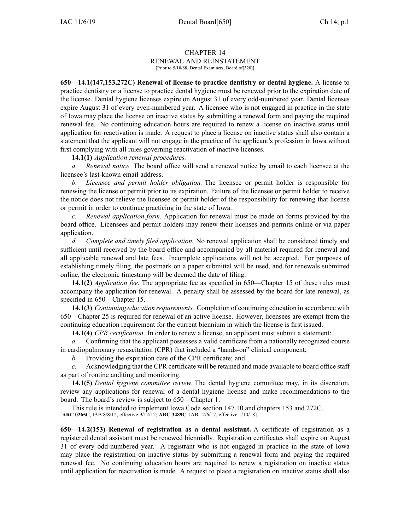# CHAPTER 14

## RENEWAL AND REINSTATEMENT

[Prior to 5/18/88, Dental Examiners, Board of[320]]

**650—14.1(147,153,272C) Renewal of license to practice dentistry or dental hygiene.** A license to practice dentistry or <sup>a</sup> license to practice dental hygiene must be renewed prior to the expiration date of the license. Dental hygiene licenses expire on August 31 of every odd-numbered year. Dental licenses expire August 31 of every even-numbered year. A licensee who is not engaged in practice in the state of Iowa may place the license on inactive status by submitting <sup>a</sup> renewal form and paying the required renewal fee. No continuing education hours are required to renew <sup>a</sup> license on inactive status until application for reactivation is made. A reques<sup>t</sup> to place <sup>a</sup> license on inactive status shall also contain <sup>a</sup> statement that the applicant will not engage in the practice of the applicant's profession in Iowa without first complying with all rules governing reactivation of inactive licenses.

### **14.1(1)** *Application renewal procedures.*

*a. Renewal notice.* The board office will send <sup>a</sup> renewal notice by email to each licensee at the licensee's last-known email address.

*b. Licensee and permit holder obligation.* The licensee or permit holder is responsible for renewing the license or permit prior to its expiration. Failure of the licensee or permit holder to receive the notice does not relieve the licensee or permit holder of the responsibility for renewing that license or permit in order to continue practicing in the state of Iowa.

*c. Renewal application form.* Application for renewal must be made on forms provided by the board office. Licensees and permit holders may renew their licenses and permits online or via paper application.

*d. Complete and timely filed application.* No renewal application shall be considered timely and sufficient until received by the board office and accompanied by all material required for renewal and all applicable renewal and late fees. Incomplete applications will not be accepted. For purposes of establishing timely filing, the postmark on <sup>a</sup> paper submittal will be used, and for renewals submitted online, the electronic timestamp will be deemed the date of filing.

**14.1(2)** *Application fee.* The appropriate fee as specified in [650—Chapter](https://www.legis.iowa.gov/docs/iac/chapter/650.15.pdf) 15 of these rules must accompany the application for renewal. A penalty shall be assessed by the board for late renewal, as specified in 650—Chapter 15.

**14.1(3)** *Continuing education requirements.* Completion of continuing education in accordance with [650—Chapter](https://www.legis.iowa.gov/docs/iac/chapter/650.25.pdf) 25 is required for renewal of an active license. However, licensees are exemp<sup>t</sup> from the continuing education requirement for the current biennium in which the license is first issued.

**14.1(4)** *CPR certification.* In order to renew <sup>a</sup> license, an applicant must submit <sup>a</sup> statement:

*a.* Confirming that the applicant possesses <sup>a</sup> valid certificate from <sup>a</sup> nationally recognized course in cardiopulmonary resuscitation (CPR) that included <sup>a</sup> "hands-on" clinical component;

*b.* Providing the expiration date of the CPR certificate; and

Acknowledging that the CPR certificate will be retained and made available to board office staff as par<sup>t</sup> of routine auditing and monitoring.

**14.1(5)** *Dental hygiene committee review.* The dental hygiene committee may, in its discretion, review any applications for renewal of <sup>a</sup> dental hygiene license and make recommendations to the board. The board's review is subject to [650—Chapter](https://www.legis.iowa.gov/docs/iac/chapter/650.1.pdf) 1.

This rule is intended to implement Iowa Code section [147.10](https://www.legis.iowa.gov/docs/ico/section/147.10.pdf) and chapters [153](https://www.legis.iowa.gov/docs/ico/chapter/153.pdf) and [272C](https://www.legis.iowa.gov/docs/ico/chapter/272C.pdf). [**ARC [0265C](https://www.legis.iowa.gov/docs/aco/arc/0265C.pdf)**, IAB 8/8/12, effective 9/12/12; **ARC [3489C](https://www.legis.iowa.gov/docs/aco/arc/3489C.pdf)**, IAB 12/6/17, effective 1/10/18]

**650—14.2(153) Renewal of registration as <sup>a</sup> dental assistant.** A certificate of registration as <sup>a</sup> registered dental assistant must be renewed biennially. Registration certificates shall expire on August 31 of every odd-numbered year. A registrant who is not engaged in practice in the state of Iowa may place the registration on inactive status by submitting <sup>a</sup> renewal form and paying the required renewal fee. No continuing education hours are required to renew <sup>a</sup> registration on inactive status until application for reactivation is made. A reques<sup>t</sup> to place <sup>a</sup> registration on inactive status shall also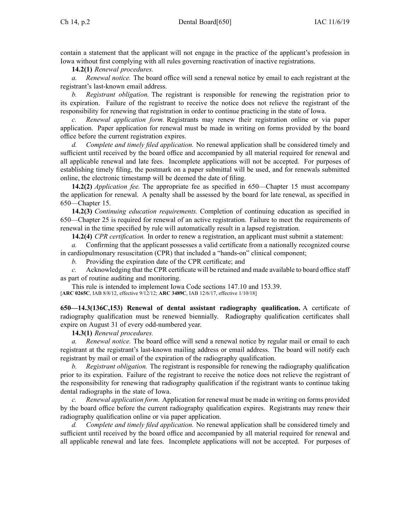contain <sup>a</sup> statement that the applicant will not engage in the practice of the applicant's profession in Iowa without first complying with all rules governing reactivation of inactive registrations.

**14.2(1)** *Renewal procedures.*

*a. Renewal notice.* The board office will send <sup>a</sup> renewal notice by email to each registrant at the registrant's last-known email address.

*b. Registrant obligation.* The registrant is responsible for renewing the registration prior to its expiration. Failure of the registrant to receive the notice does not relieve the registrant of the responsibility for renewing that registration in order to continue practicing in the state of Iowa.

*c. Renewal application form.* Registrants may renew their registration online or via paper application. Paper application for renewal must be made in writing on forms provided by the board office before the current registration expires.

*d. Complete and timely filed application.* No renewal application shall be considered timely and sufficient until received by the board office and accompanied by all material required for renewal and all applicable renewal and late fees. Incomplete applications will not be accepted. For purposes of establishing timely filing, the postmark on <sup>a</sup> paper submittal will be used, and for renewals submitted online, the electronic timestamp will be deemed the date of filing.

**14.2(2)** *Application fee.* The appropriate fee as specified in 650—Chapter 15 must accompany the application for renewal. A penalty shall be assessed by the board for late renewal, as specified in 650—Chapter 15.

**14.2(3)** *Continuing education requirements.* Completion of continuing education as specified in 650—Chapter 25 is required for renewal of an active registration. Failure to meet the requirements of renewal in the time specified by rule will automatically result in <sup>a</sup> lapsed registration.

**14.2(4)** *CPR certification.* In order to renew <sup>a</sup> registration, an applicant must submit <sup>a</sup> statement:

*a.* Confirming that the applicant possesses <sup>a</sup> valid certificate from <sup>a</sup> nationally recognized course in cardiopulmonary resuscitation (CPR) that included <sup>a</sup> "hands-on" clinical component;

*b.* Providing the expiration date of the CPR certificate; and

*c.* Acknowledging that the CPR certificate will be retained and made available to board office staff as par<sup>t</sup> of routine auditing and monitoring.

This rule is intended to implement Iowa Code sections [147.10](https://www.legis.iowa.gov/docs/ico/section/147.10.pdf) and [153.39](https://www.legis.iowa.gov/docs/ico/section/153.39.pdf). [**ARC [0265C](https://www.legis.iowa.gov/docs/aco/arc/0265C.pdf)**, IAB 8/8/12, effective 9/12/12; **ARC [3489C](https://www.legis.iowa.gov/docs/aco/arc/3489C.pdf)**, IAB 12/6/17, effective 1/10/18]

**650—14.3(136C,153) Renewal of dental assistant radiography qualification.** A certificate of radiography qualification must be renewed biennially. Radiography qualification certificates shall expire on August 31 of every odd-numbered year.

**14.3(1)** *Renewal procedures.*

*a. Renewal notice.* The board office will send <sup>a</sup> renewal notice by regular mail or email to each registrant at the registrant's last-known mailing address or email address. The board will notify each registrant by mail or email of the expiration of the radiography qualification.

*b. Registrant obligation.* The registrant is responsible for renewing the radiography qualification prior to its expiration. Failure of the registrant to receive the notice does not relieve the registrant of the responsibility for renewing that radiography qualification if the registrant wants to continue taking dental radiographs in the state of Iowa.

*c. Renewal application form.* Application for renewal must be made in writing on forms provided by the board office before the current radiography qualification expires. Registrants may renew their radiography qualification online or via paper application.

*d. Complete and timely filed application.* No renewal application shall be considered timely and sufficient until received by the board office and accompanied by all material required for renewal and all applicable renewal and late fees. Incomplete applications will not be accepted. For purposes of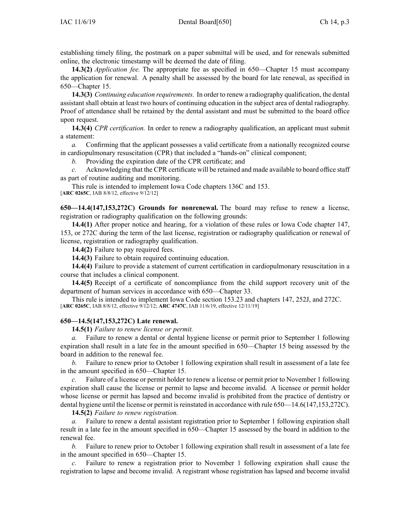establishing timely filing, the postmark on <sup>a</sup> paper submittal will be used, and for renewals submitted online, the electronic timestamp will be deemed the date of filing.

**14.3(2)** *Application fee.* The appropriate fee as specified in [650—Chapter](https://www.legis.iowa.gov/docs/iac/chapter/650.15.pdf) 15 must accompany the application for renewal. A penalty shall be assessed by the board for late renewal, as specified in [650—Chapter](https://www.legis.iowa.gov/docs/iac/chapter/650.15.pdf) 15.

**14.3(3)** *Continuing education requirements.* In order to renew <sup>a</sup> radiography qualification, the dental assistant shall obtain at least two hours of continuing education in the subject area of dental radiography. Proof of attendance shall be retained by the dental assistant and must be submitted to the board office upon request.

**14.3(4)** *CPR certification.* In order to renew <sup>a</sup> radiography qualification, an applicant must submit a statement:

*a.* Confirming that the applicant possesses <sup>a</sup> valid certificate from <sup>a</sup> nationally recognized course in cardiopulmonary resuscitation (CPR) that included <sup>a</sup> "hands-on" clinical component;

*b.* Providing the expiration date of the CPR certificate; and

*c.* Acknowledging that the CPR certificate will be retained and made available to board office staff as par<sup>t</sup> of routine auditing and monitoring.

This rule is intended to implement Iowa Code chapters [136C](https://www.legis.iowa.gov/docs/ico/chapter/136C.pdf) and [153](https://www.legis.iowa.gov/docs/ico/chapter/153.pdf).

[**ARC [0265C](https://www.legis.iowa.gov/docs/aco/arc/0265C.pdf)**, IAB 8/8/12, effective 9/12/12]

**650—14.4(147,153,272C) Grounds for nonrenewal.** The board may refuse to renew <sup>a</sup> license, registration or radiography qualification on the following grounds:

**14.4(1)** After proper notice and hearing, for <sup>a</sup> violation of these rules or Iowa Code chapter [147](https://www.legis.iowa.gov/docs/ico/chapter/147.pdf), [153](https://www.legis.iowa.gov/docs/ico/chapter/153.pdf), or [272C](https://www.legis.iowa.gov/docs/ico/chapter/272C.pdf) during the term of the last license, registration or radiography qualification or renewal of license, registration or radiography qualification.

**14.4(2)** Failure to pay required fees.

**14.4(3)** Failure to obtain required continuing education.

**14.4(4)** Failure to provide <sup>a</sup> statement of current certification in cardiopulmonary resuscitation in <sup>a</sup> course that includes <sup>a</sup> clinical component.

**14.4(5)** Receipt of <sup>a</sup> certificate of noncompliance from the child suppor<sup>t</sup> recovery unit of the department of human services in accordance with [650—Chapter](https://www.legis.iowa.gov/docs/iac/chapter/650.33.pdf) 33.

This rule is intended to implement Iowa Code section [153.23](https://www.legis.iowa.gov/docs/ico/section/153.23.pdf) and chapters [147](https://www.legis.iowa.gov/docs/ico/chapter/147.pdf), [252J](https://www.legis.iowa.gov/docs/ico/chapter/252J.pdf), and [272C](https://www.legis.iowa.gov/docs/ico/chapter/272C.pdf). [**ARC [0265C](https://www.legis.iowa.gov/docs/aco/arc/0265C.pdf)**, IAB 8/8/12, effective 9/12/12; **ARC [4747C](https://www.legis.iowa.gov/docs/aco/arc/4747C.pdf)**, IAB 11/6/19, effective 12/11/19]

### **650—14.5(147,153,272C) Late renewal.**

**14.5(1)** *Failure to renew license or permit.*

Failure to renew a dental or dental hygiene license or permit prior to September 1 following expiration shall result in <sup>a</sup> late fee in the amount specified in 650—Chapter 15 being assessed by the board in addition to the renewal fee.

*b.* Failure to renew prior to October 1 following expiration shall result in assessment of <sup>a</sup> late fee in the amount specified in 650—Chapter 15.

*c.* Failure of <sup>a</sup> license or permit holder to renew <sup>a</sup> license or permit prior to November 1 following expiration shall cause the license or permit to lapse and become invalid. A licensee or permit holder whose license or permit has lapsed and become invalid is prohibited from the practice of dentistry or dental hygiene until the license or permit is reinstated in accordance with rule 650—14.6(147,153,272C).

**14.5(2)** *Failure to renew registration.*

*a.* Failure to renew <sup>a</sup> dental assistant registration prior to September 1 following expiration shall result in <sup>a</sup> late fee in the amount specified in 650—Chapter 15 assessed by the board in addition to the renewal fee.

*b.* Failure to renew prior to October 1 following expiration shall result in assessment of <sup>a</sup> late fee in the amount specified in 650—Chapter 15.

Failure to renew a registration prior to November 1 following expiration shall cause the registration to lapse and become invalid. A registrant whose registration has lapsed and become invalid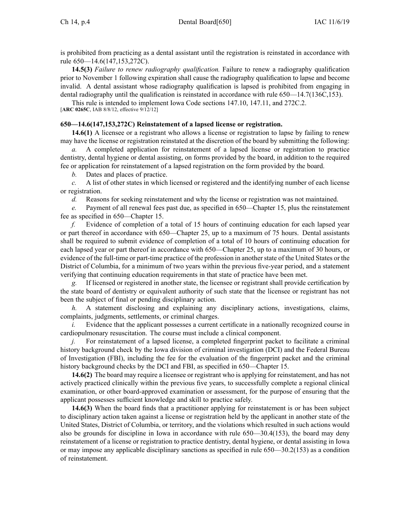is prohibited from practicing as <sup>a</sup> dental assistant until the registration is reinstated in accordance with rule 650—14.6(147,153,272C).

**14.5(3)** *Failure to renew radiography qualification.* Failure to renew <sup>a</sup> radiography qualification prior to November 1 following expiration shall cause the radiography qualification to lapse and become invalid. A dental assistant whose radiography qualification is lapsed is prohibited from engaging in dental radiography until the qualification is reinstated in accordance with rule 650—14.7(136C,153).

This rule is intended to implement Iowa Code sections [147.10](https://www.legis.iowa.gov/docs/ico/section/147.10.pdf), [147.11](https://www.legis.iowa.gov/docs/ico/section/147.11.pdf), and [272C.2](https://www.legis.iowa.gov/docs/ico/section/272C.2.pdf). [**ARC [0265C](https://www.legis.iowa.gov/docs/aco/arc/0265C.pdf)**, IAB 8/8/12, effective 9/12/12]

### **650—14.6(147,153,272C) Reinstatement of <sup>a</sup> lapsed license or registration.**

**14.6(1)** A licensee or <sup>a</sup> registrant who allows <sup>a</sup> license or registration to lapse by failing to renew may have the license or registration reinstated at the discretion of the board by submitting the following:

*a.* A completed application for reinstatement of <sup>a</sup> lapsed license or registration to practice dentistry, dental hygiene or dental assisting, on forms provided by the board, in addition to the required fee or application for reinstatement of <sup>a</sup> lapsed registration on the form provided by the board.

*b.* Dates and places of practice.

*c.* A list of other states in which licensed or registered and the identifying number of each license or registration.

*d.* Reasons for seeking reinstatement and why the license or registration was not maintained.

*e.* Payment of all renewal fees pas<sup>t</sup> due, as specified in [650—Chapter](https://www.legis.iowa.gov/docs/iac/chapter/650.15.pdf) 15, plus the reinstatement fee as specified in [650—Chapter](https://www.legis.iowa.gov/docs/iac/chapter/650.15.pdf) 15.

*f.* Evidence of completion of <sup>a</sup> total of 15 hours of continuing education for each lapsed year or par<sup>t</sup> thereof in accordance with [650—Chapter](https://www.legis.iowa.gov/docs/iac/chapter/650.25.pdf) 25, up to <sup>a</sup> maximum of 75 hours. Dental assistants shall be required to submit evidence of completion of <sup>a</sup> total of 10 hours of continuing education for each lapsed year or par<sup>t</sup> thereof in accordance with [650—Chapter](https://www.legis.iowa.gov/docs/iac/chapter/650.25.pdf) 25, up to <sup>a</sup> maximum of 30 hours, or evidence of the full-time or part-time practice of the profession in anotherstate of the United States or the District of Columbia, for <sup>a</sup> minimum of two years within the previous five-year period, and <sup>a</sup> statement verifying that continuing education requirements in that state of practice have been met.

*g.* If licensed or registered in another state, the licensee or registrant shall provide certification by the state board of dentistry or equivalent authority of such state that the licensee or registrant has not been the subject of final or pending disciplinary action.

*h.* A statement disclosing and explaining any disciplinary actions, investigations, claims, complaints, judgments, settlements, or criminal charges.

*i.* Evidence that the applicant possesses a current certificate in a nationally recognized course in cardiopulmonary resuscitation. The course must include <sup>a</sup> clinical component.

*j.* For reinstatement of a lapsed license, a completed fingerprint packet to facilitate a criminal history background check by the Iowa division of criminal investigation (DCI) and the Federal Bureau of Investigation (FBI), including the fee for the evaluation of the fingerprint packet and the criminal history background checks by the DCI and FBI, as specified in [650—Chapter](https://www.legis.iowa.gov/docs/iac/chapter/650.15.pdf) 15.

**14.6(2)** The board may require <sup>a</sup> licensee or registrant who is applying for reinstatement, and has not actively practiced clinically within the previous five years, to successfully complete <sup>a</sup> regional clinical examination, or other board-approved examination or assessment, for the purpose of ensuring that the applicant possesses sufficient knowledge and skill to practice safely.

**14.6(3)** When the board finds that <sup>a</sup> practitioner applying for reinstatement is or has been subject to disciplinary action taken against <sup>a</sup> license or registration held by the applicant in another state of the United States, District of Columbia, or territory, and the violations which resulted in such actions would also be grounds for discipline in Iowa in accordance with rule [650—30.4\(153\)](https://www.legis.iowa.gov/docs/iac/rule/650.30.4.pdf), the board may deny reinstatement of <sup>a</sup> license or registration to practice dentistry, dental hygiene, or dental assisting in Iowa or may impose any applicable disciplinary sanctions as specified in rule [650—30.2\(153\)](https://www.legis.iowa.gov/docs/iac/rule/650.30.2.pdf) as <sup>a</sup> condition of reinstatement.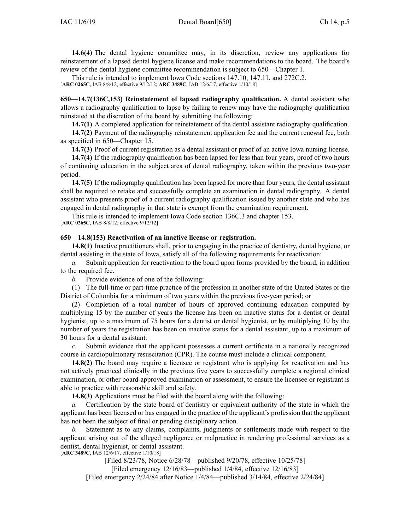**14.6(4)** The dental hygiene committee may, in its discretion, review any applications for reinstatement of <sup>a</sup> lapsed dental hygiene license and make recommendations to the board. The board's review of the dental hygiene committee recommendation is subject to [650—Chapter](https://www.legis.iowa.gov/docs/iac/chapter/650.1.pdf) 1.

This rule is intended to implement Iowa Code sections [147.10](https://www.legis.iowa.gov/docs/ico/section/147.10.pdf), [147.11](https://www.legis.iowa.gov/docs/ico/section/147.11.pdf), and [272C.2](https://www.legis.iowa.gov/docs/ico/section/272C.2.pdf).

[**ARC [0265C](https://www.legis.iowa.gov/docs/aco/arc/0265C.pdf)**, IAB 8/8/12, effective 9/12/12; **ARC [3489C](https://www.legis.iowa.gov/docs/aco/arc/3489C.pdf)**, IAB 12/6/17, effective 1/10/18]

**650—14.7(136C,153) Reinstatement of lapsed radiography qualification.** A dental assistant who allows <sup>a</sup> radiography qualification to lapse by failing to renew may have the radiography qualification reinstated at the discretion of the board by submitting the following:

**14.7(1)** A completed application for reinstatement of the dental assistant radiography qualification.

**14.7(2)** Payment of the radiography reinstatement application fee and the current renewal fee, both as specified in 650—Chapter 15.

**14.7(3)** Proof of current registration as <sup>a</sup> dental assistant or proof of an active Iowa nursing license.

**14.7(4)** If the radiography qualification has been lapsed for less than four years, proof of two hours of continuing education in the subject area of dental radiography, taken within the previous two-year period.

**14.7(5)** If the radiography qualification has been lapsed for more than four years, the dental assistant shall be required to retake and successfully complete an examination in dental radiography. A dental assistant who presents proof of <sup>a</sup> current radiography qualification issued by another state and who has engaged in dental radiography in that state is exemp<sup>t</sup> from the examination requirement.

This rule is intended to implement Iowa Code section [136C.3](https://www.legis.iowa.gov/docs/ico/section/136C.3.pdf) and chapter [153](https://www.legis.iowa.gov/docs/ico/chapter/153.pdf). [**ARC [0265C](https://www.legis.iowa.gov/docs/aco/arc/0265C.pdf)**, IAB 8/8/12, effective 9/12/12]

#### **650—14.8(153) Reactivation of an inactive license or registration.**

**14.8(1)** Inactive practitioners shall, prior to engaging in the practice of dentistry, dental hygiene, or dental assisting in the state of Iowa, satisfy all of the following requirements for reactivation:

*a.* Submit application for reactivation to the board upon forms provided by the board, in addition to the required fee.

*b.* Provide evidence of one of the following:

(1) The full-time or part-time practice of the profession in another state of the United States or the District of Columbia for <sup>a</sup> minimum of two years within the previous five-year period; or

(2) Completion of <sup>a</sup> total number of hours of approved continuing education computed by multiplying 15 by the number of years the license has been on inactive status for <sup>a</sup> dentist or dental hygienist, up to <sup>a</sup> maximum of 75 hours for <sup>a</sup> dentist or dental hygienist, or by multiplying 10 by the number of years the registration has been on inactive status for <sup>a</sup> dental assistant, up to <sup>a</sup> maximum of 30 hours for <sup>a</sup> dental assistant.

*c.* Submit evidence that the applicant possesses <sup>a</sup> current certificate in <sup>a</sup> nationally recognized course in cardiopulmonary resuscitation (CPR). The course must include <sup>a</sup> clinical component.

**14.8(2)** The board may require <sup>a</sup> licensee or registrant who is applying for reactivation and has not actively practiced clinically in the previous five years to successfully complete <sup>a</sup> regional clinical examination, or other board-approved examination or assessment, to ensure the licensee or registrant is able to practice with reasonable skill and safety.

**14.8(3)** Applications must be filed with the board along with the following:

*a.* Certification by the state board of dentistry or equivalent authority of the state in which the applicant has been licensed or has engaged in the practice of the applicant's profession that the applicant has not been the subject of final or pending disciplinary action.

*b.* Statement as to any claims, complaints, judgments or settlements made with respec<sup>t</sup> to the applicant arising out of the alleged negligence or malpractice in rendering professional services as <sup>a</sup> dentist, dental hygienist, or dental assistant.

[**ARC [3489C](https://www.legis.iowa.gov/docs/aco/arc/3489C.pdf)**, IAB 12/6/17, effective 1/10/18]

[Filed 8/23/78, Notice 6/28/78—published 9/20/78, effective 10/25/78] [Filed emergency 12/16/83—published 1/4/84, effective 12/16/83] [Filed emergency 2/24/84 after Notice 1/4/84—published 3/14/84, effective 2/24/84]